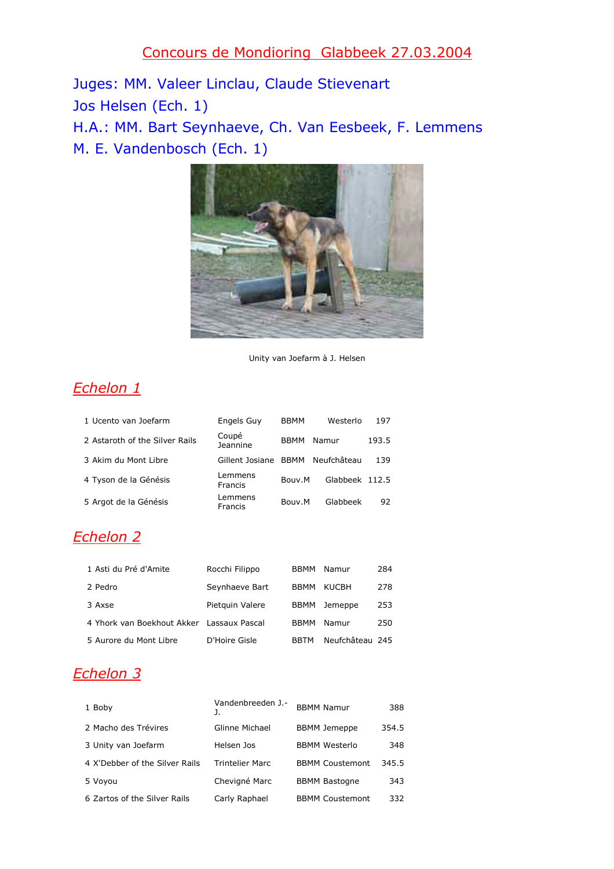## Concours de Mondioring Glabbeek 27.03.2004

Juges: MM. Valeer Linclau, Claude Stievenart Jos Helsen (Ech. 1)

H.A.: MM. Bart Seynhaeve, Ch. Van Eesbeek, F. Lemmens M. E. Vandenbosch (Ech. 1)



Unity van Joefarm à J. Helsen

## *Echelon 1*

| 1 Ucento van Joefarm           | Engels Guy           | <b>BBMM</b> | Westerlo       | 197   |
|--------------------------------|----------------------|-------------|----------------|-------|
| 2 Astaroth of the Silver Rails | Coupé<br>Jeannine    | <b>BBMM</b> | Namur          | 193.5 |
| 3 Akim du Mont Libre           | Gillent Josiane BBMM |             | Neufchâteau    | 139   |
| 4 Tyson de la Génésis          | Lemmens<br>Francis   | Bouv.M      | Glabbeek 112.5 |       |
| 5 Argot de la Génésis          | Lemmens<br>Francis   | Bouv.M      | Glabbeek       | 92    |

## *Echelon 2*

| 1 Asti du Pré d'Amite                     | Rocchi Filippo  | BBMM        | Namur           | 284 |
|-------------------------------------------|-----------------|-------------|-----------------|-----|
| 2 Pedro                                   | Seynhaeve Bart  | <b>BBMM</b> | KUCBH           | 278 |
| 3 Axse                                    | Pietguin Valere | BBMM        | Jemeppe         | 253 |
| 4 Yhork van Boekhout Akker Lassaux Pascal |                 | <b>BBMM</b> | Namur           | 250 |
| 5 Aurore du Mont Libre                    | D'Hoire Gisle   | <b>BBTM</b> | Neufchâteau 245 |     |

## *Echelon 3*

| 1 Boby                         | Vandenbreeden J.- | <b>BBMM Namur</b>      | 388   |
|--------------------------------|-------------------|------------------------|-------|
| 2 Macho des Trévires           | Glinne Michael    | <b>BBMM</b> Jemeppe    | 354.5 |
| 3 Unity van Joefarm            | Helsen Jos        | <b>BBMM Westerlo</b>   | 348   |
| 4 X'Debber of the Silver Rails | Trintelier Marc   | <b>BBMM Coustemont</b> | 345.5 |
| 5 Voyou                        | Chevigné Marc     | <b>BBMM Bastogne</b>   | 343   |
| 6 Zartos of the Silver Rails   | Carly Raphael     | <b>BBMM Coustemont</b> | 332   |